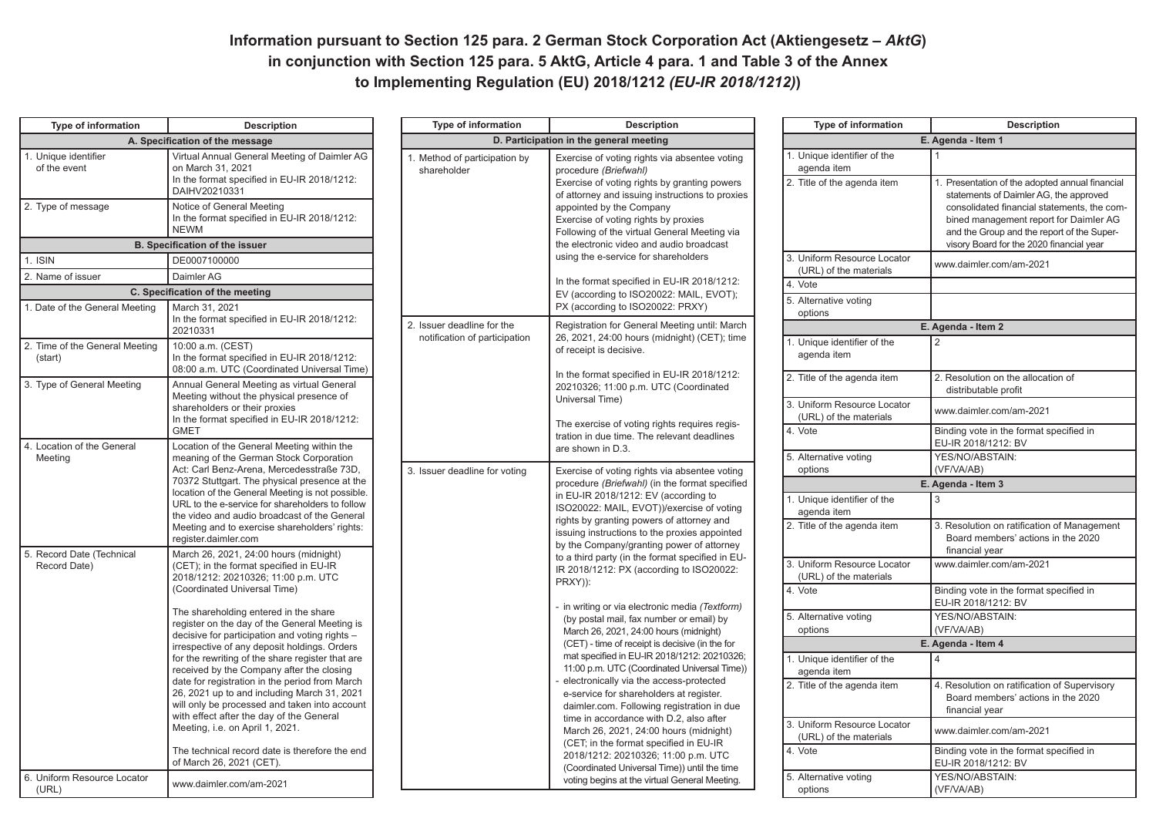## **Information pursuant to Section 125 para. 2 German Stock Corporation Act (Aktiengesetz - AktG) in conjunction with Section 125 para. 5 AktG, Article 4 para. 1 and Table 3 of the Annex to Implementing Regulation (EU) 2018/1212** *(EU-IR 2018/1212)***)**

| <b>Type of information</b>                                                                                                                                                                                                                                                                                                                                                                        | <b>Description</b>                                                                                                                                                                                                                                                                                                                                                                                                                                                                                             |  | <b>Type of information</b>                                  | <b>Description</b>                                                                                                                                                                                                                                                                                                                                                                                                                                                                          |  | <b>Type of information</b>                                                | <b>Description</b>                                                                                                                  |
|---------------------------------------------------------------------------------------------------------------------------------------------------------------------------------------------------------------------------------------------------------------------------------------------------------------------------------------------------------------------------------------------------|----------------------------------------------------------------------------------------------------------------------------------------------------------------------------------------------------------------------------------------------------------------------------------------------------------------------------------------------------------------------------------------------------------------------------------------------------------------------------------------------------------------|--|-------------------------------------------------------------|---------------------------------------------------------------------------------------------------------------------------------------------------------------------------------------------------------------------------------------------------------------------------------------------------------------------------------------------------------------------------------------------------------------------------------------------------------------------------------------------|--|---------------------------------------------------------------------------|-------------------------------------------------------------------------------------------------------------------------------------|
| A. Specification of the message                                                                                                                                                                                                                                                                                                                                                                   |                                                                                                                                                                                                                                                                                                                                                                                                                                                                                                                |  | D. Participation in the general meeting                     |                                                                                                                                                                                                                                                                                                                                                                                                                                                                                             |  | E. Agenda - Item 1                                                        |                                                                                                                                     |
| 1. Unique identifier<br>of the event                                                                                                                                                                                                                                                                                                                                                              | Virtual Annual General Meeting of Daimler AG<br>on March 31, 2021<br>In the format specified in EU-IR 2018/1212:<br>DAIHV20210331                                                                                                                                                                                                                                                                                                                                                                              |  | 1. Method of participation by<br>shareholder                | Exercise of voting rights via absentee voting<br>procedure (Briefwahl)<br>Exercise of voting rights by granting powers<br>of attorney and issuing instructions to proxies<br>appointed by the Company<br>Exercise of voting rights by proxies<br>Following of the virtual General Meeting via<br>the electronic video and audio broadcast<br>using the e-service for shareholders<br>In the format specified in EU-IR 2018/1212:<br>EV (according to ISO20022: MAIL, EVOT);                 |  | 1. Unique identifier of the<br>agenda item<br>2. Title of the agenda item | 1. Presentation of the adopted annual financial<br>statements of Daimler AG, the approved                                           |
| 2. Type of message                                                                                                                                                                                                                                                                                                                                                                                | Notice of General Meeting<br>In the format specified in EU-IR 2018/1212:<br><b>NEWM</b>                                                                                                                                                                                                                                                                                                                                                                                                                        |  |                                                             |                                                                                                                                                                                                                                                                                                                                                                                                                                                                                             |  |                                                                           | consolidated financial statements, the com-<br>bined management report for Daimler AG<br>and the Group and the report of the Super- |
|                                                                                                                                                                                                                                                                                                                                                                                                   | <b>B. Specification of the issuer</b>                                                                                                                                                                                                                                                                                                                                                                                                                                                                          |  |                                                             |                                                                                                                                                                                                                                                                                                                                                                                                                                                                                             |  | 3. Uniform Resource Locator                                               | visory Board for the 2020 financial year                                                                                            |
| 1. ISIN                                                                                                                                                                                                                                                                                                                                                                                           | DE0007100000                                                                                                                                                                                                                                                                                                                                                                                                                                                                                                   |  |                                                             |                                                                                                                                                                                                                                                                                                                                                                                                                                                                                             |  | (URL) of the materials                                                    | www.daimler.com/am-2021                                                                                                             |
| 2. Name of issuer                                                                                                                                                                                                                                                                                                                                                                                 | Daimler AG                                                                                                                                                                                                                                                                                                                                                                                                                                                                                                     |  |                                                             |                                                                                                                                                                                                                                                                                                                                                                                                                                                                                             |  | 4. Vote                                                                   |                                                                                                                                     |
|                                                                                                                                                                                                                                                                                                                                                                                                   | C. Specification of the meeting                                                                                                                                                                                                                                                                                                                                                                                                                                                                                |  |                                                             |                                                                                                                                                                                                                                                                                                                                                                                                                                                                                             |  | 5. Alternative voting                                                     |                                                                                                                                     |
| 1. Date of the General Meeting                                                                                                                                                                                                                                                                                                                                                                    | March 31, 2021<br>In the format specified in EU-IR 2018/1212:<br>20210331                                                                                                                                                                                                                                                                                                                                                                                                                                      |  | 2. Issuer deadline for the<br>notification of participation | PX (according to ISO20022: PRXY)<br>Registration for General Meeting until: March                                                                                                                                                                                                                                                                                                                                                                                                           |  | options                                                                   | E. Agenda - Item 2                                                                                                                  |
| 2. Time of the General Meeting<br>(start)                                                                                                                                                                                                                                                                                                                                                         | 10:00 a.m. (CEST)<br>In the format specified in EU-IR 2018/1212:<br>08:00 a.m. UTC (Coordinated Universal Time)                                                                                                                                                                                                                                                                                                                                                                                                |  |                                                             | 26, 2021, 24:00 hours (midnight) (CET); time<br>of receipt is decisive.                                                                                                                                                                                                                                                                                                                                                                                                                     |  | 1. Unique identifier of the<br>agenda item                                |                                                                                                                                     |
| 3. Type of General Meeting<br>Annual General Meeting as virtual General<br>Meeting without the physical presence of<br>shareholders or their proxies<br>In the format specified in EU-IR 2018/1212:<br><b>GMET</b><br>4. Location of the General<br>Location of the General Meeting within the<br>meaning of the German Stock Corporation<br>Meeting<br>Act: Carl Benz-Arena, Mercedesstraße 73D, |                                                                                                                                                                                                                                                                                                                                                                                                                                                                                                                |  |                                                             | In the format specified in EU-IR 2018/1212:<br>20210326; 11:00 p.m. UTC (Coordinated<br>Universal Time)<br>The exercise of voting rights requires regis-<br>tration in due time. The relevant deadlines<br>are shown in D.3.                                                                                                                                                                                                                                                                |  | 2. Title of the agenda item                                               | 2. Resolution on the allocation of<br>distributable profit                                                                          |
|                                                                                                                                                                                                                                                                                                                                                                                                   |                                                                                                                                                                                                                                                                                                                                                                                                                                                                                                                |  |                                                             |                                                                                                                                                                                                                                                                                                                                                                                                                                                                                             |  | 3. Uniform Resource Locator<br>(URL) of the materials                     | www.daimler.com/am-2021                                                                                                             |
|                                                                                                                                                                                                                                                                                                                                                                                                   |                                                                                                                                                                                                                                                                                                                                                                                                                                                                                                                |  |                                                             |                                                                                                                                                                                                                                                                                                                                                                                                                                                                                             |  | 4. Vote                                                                   | Binding vote in the format specified in<br>EU-IR 2018/1212: BV                                                                      |
|                                                                                                                                                                                                                                                                                                                                                                                                   |                                                                                                                                                                                                                                                                                                                                                                                                                                                                                                                |  | 3. Issuer deadline for voting                               | Exercise of voting rights via absentee voting<br>procedure (Briefwahl) (in the format specified<br>in EU-IR 2018/1212: EV (according to<br>ISO20022: MAIL, EVOT))/exercise of voting<br>rights by granting powers of attorney and<br>issuing instructions to the proxies appointed<br>by the Company/granting power of attorney<br>to a third party (in the format specified in EU-<br>IR 2018/1212: PX (according to ISO20022:<br>PRXY)):<br>in writing or via electronic media (Textform) |  | 5. Alternative voting<br>options                                          | YES/NO/ABSTAIN:<br>(VF/VA/AB)                                                                                                       |
|                                                                                                                                                                                                                                                                                                                                                                                                   | 70372 Stuttgart. The physical presence at the                                                                                                                                                                                                                                                                                                                                                                                                                                                                  |  |                                                             |                                                                                                                                                                                                                                                                                                                                                                                                                                                                                             |  |                                                                           | E. Agenda - Item 3                                                                                                                  |
| register.daimler.com<br>5. Record Date (Technical<br>Record Date)                                                                                                                                                                                                                                                                                                                                 | location of the General Meeting is not possible.<br>URL to the e-service for shareholders to follow<br>the video and audio broadcast of the General                                                                                                                                                                                                                                                                                                                                                            |  |                                                             |                                                                                                                                                                                                                                                                                                                                                                                                                                                                                             |  | 1. Unique identifier of the<br>agenda item                                | 3                                                                                                                                   |
|                                                                                                                                                                                                                                                                                                                                                                                                   | Meeting and to exercise shareholders' rights:<br>March 26, 2021, 24:00 hours (midnight)                                                                                                                                                                                                                                                                                                                                                                                                                        |  |                                                             |                                                                                                                                                                                                                                                                                                                                                                                                                                                                                             |  | 2. Title of the agenda item                                               | 3. Resolution on ratification of Management<br>Board members' actions in the 2020<br>financial year                                 |
|                                                                                                                                                                                                                                                                                                                                                                                                   | (CET); in the format specified in EU-IR<br>2018/1212: 20210326; 11:00 p.m. UTC<br>(Coordinated Universal Time)                                                                                                                                                                                                                                                                                                                                                                                                 |  |                                                             |                                                                                                                                                                                                                                                                                                                                                                                                                                                                                             |  | 3. Uniform Resource Locator<br>(URL) of the materials                     | www.daimler.com/am-2021                                                                                                             |
|                                                                                                                                                                                                                                                                                                                                                                                                   |                                                                                                                                                                                                                                                                                                                                                                                                                                                                                                                |  |                                                             |                                                                                                                                                                                                                                                                                                                                                                                                                                                                                             |  | 4. Vote                                                                   | Binding vote in the format specified in<br>EU-IR 2018/1212: BV                                                                      |
|                                                                                                                                                                                                                                                                                                                                                                                                   | The shareholding entered in the share<br>register on the day of the General Meeting is                                                                                                                                                                                                                                                                                                                                                                                                                         |  |                                                             | (by postal mail, fax number or email) by<br>March 26, 2021, 24:00 hours (midnight)                                                                                                                                                                                                                                                                                                                                                                                                          |  | 5. Alternative voting<br>options                                          | YES/NO/ABSTAIN:<br>(VF/VA/AB)                                                                                                       |
|                                                                                                                                                                                                                                                                                                                                                                                                   | decisive for participation and voting rights -<br>irrespective of any deposit holdings. Orders<br>for the rewriting of the share register that are<br>received by the Company after the closing<br>date for registration in the period from March<br>26, 2021 up to and including March 31, 2021<br>will only be processed and taken into account<br>with effect after the day of the General<br>Meeting, i.e. on April 1, 2021.<br>The technical record date is therefore the end<br>of March 26, 2021 (CET). |  |                                                             | (CET) - time of receipt is decisive (in the for<br>mat specified in EU-IR 2018/1212: 20210326;<br>11:00 p.m. UTC (Coordinated Universal Time))<br>electronically via the access-protected<br>e-service for shareholders at register.<br>daimler.com. Following registration in due<br>time in accordance with D.2, also after                                                                                                                                                               |  |                                                                           | E. Agenda - Item 4                                                                                                                  |
|                                                                                                                                                                                                                                                                                                                                                                                                   |                                                                                                                                                                                                                                                                                                                                                                                                                                                                                                                |  |                                                             |                                                                                                                                                                                                                                                                                                                                                                                                                                                                                             |  | 1. Unique identifier of the<br>agenda item                                |                                                                                                                                     |
|                                                                                                                                                                                                                                                                                                                                                                                                   |                                                                                                                                                                                                                                                                                                                                                                                                                                                                                                                |  |                                                             |                                                                                                                                                                                                                                                                                                                                                                                                                                                                                             |  | 2. Title of the agenda item                                               | 4. Resolution on ratification of Supervisory<br>Board members' actions in the 2020<br>financial year                                |
|                                                                                                                                                                                                                                                                                                                                                                                                   |                                                                                                                                                                                                                                                                                                                                                                                                                                                                                                                |  |                                                             | March 26, 2021, 24:00 hours (midnight)<br>(CET; in the format specified in EU-IR                                                                                                                                                                                                                                                                                                                                                                                                            |  | 3. Uniform Resource Locator<br>(URL) of the materials                     | www.daimler.com/am-2021                                                                                                             |
|                                                                                                                                                                                                                                                                                                                                                                                                   |                                                                                                                                                                                                                                                                                                                                                                                                                                                                                                                |  |                                                             | 2018/1212: 20210326; 11:00 p.m. UTC<br>(Coordinated Universal Time)) until the time                                                                                                                                                                                                                                                                                                                                                                                                         |  | 4. Vote                                                                   | Binding vote in the format specified in<br>EU-IR 2018/1212: BV                                                                      |
| 6. Uniform Resource Locator<br>(URL)                                                                                                                                                                                                                                                                                                                                                              | www.daimler.com/am-2021                                                                                                                                                                                                                                                                                                                                                                                                                                                                                        |  |                                                             | voting begins at the virtual General Meeting.                                                                                                                                                                                                                                                                                                                                                                                                                                               |  | 5. Alternative voting<br>options                                          | YES/NO/ABSTAIN:<br>(VF/VA/AB)                                                                                                       |